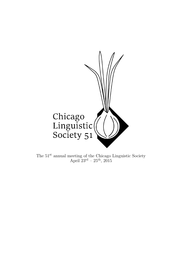

The  $51<sup>st</sup>$  annual meeting of the Chicago Linguistic Society April  $23^{\rm rd}$  –  $25^{\rm th}$ ,  $2015$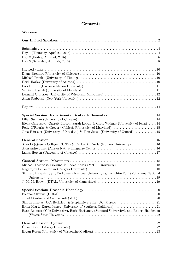| Elena Gavruseva, Garrett Larson, Sarah Lowen & Chris Widmer (University of Iowa)  14        |  |
|---------------------------------------------------------------------------------------------|--|
|                                                                                             |  |
| Jana Häussler (University of Potsdam) & Tom Juzek (University of Oxford) 15                 |  |
|                                                                                             |  |
|                                                                                             |  |
| Xiao Li (Queens College, CUNY) & Carlos A. Fasola (Rutgers University)  16                  |  |
|                                                                                             |  |
|                                                                                             |  |
|                                                                                             |  |
|                                                                                             |  |
|                                                                                             |  |
|                                                                                             |  |
| Shintaro Hayashi (JSPS/Yokohama National University) & Tomohiro Fujii (Yokohama National    |  |
|                                                                                             |  |
|                                                                                             |  |
|                                                                                             |  |
|                                                                                             |  |
|                                                                                             |  |
|                                                                                             |  |
|                                                                                             |  |
| Ryan Bennett (Yale University), Boris Harizanov (Stanford University), and Robert Henderson |  |
|                                                                                             |  |
|                                                                                             |  |
|                                                                                             |  |
|                                                                                             |  |
|                                                                                             |  |

# Contents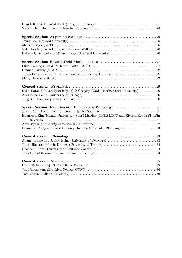| Ryan Doran (University of Regina) & Gregory Ward (Northwestern University)  29         |  |
|----------------------------------------------------------------------------------------|--|
|                                                                                        |  |
|                                                                                        |  |
|                                                                                        |  |
|                                                                                        |  |
| Hyunsoon Kim (Hongik University), Shinji Maedab (CNRS LTCI) and Kiyoshi Honda (Tianjin |  |
|                                                                                        |  |
| Chung-Lin Yang and Isabelle Darcy (Indiana University, Bloomington) 33                 |  |
|                                                                                        |  |
|                                                                                        |  |
|                                                                                        |  |
|                                                                                        |  |
|                                                                                        |  |
|                                                                                        |  |
|                                                                                        |  |
|                                                                                        |  |
|                                                                                        |  |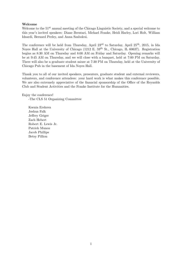### Welcome

Welcome to the  $51^{st}$  annual meeting of the Chicago Linguistic Society, and a special welcome to this year's invited speakers: Diane Brentari, Michael Franke, Heidi Harley, Lori Holt, William Idsardi, Bernard Perley, and Anna Szabolcsi.

The conference will be held from Thursday, April  $23^{\text{rd}}$  to Saturday, April  $25^{\text{th}}$ , 2015, in Ida Noyes Hall at the University of Chicago (1212 E. 59<sup>th</sup> St., Chicago, IL 60637). Registration begins as 8:30 AM on Thursday and 8:00 AM on Friday and Saturday. Opening remarks will be at 9:45 AM on Thursday, and we will close with a banquet, held at 7:00 PM on Saturday. There will also be a graduate student mixer at 7:30 PM on Thursday, held at the University of Chicago Pub in the basement of Ida Noyes Hall.

Thank you to all of our invited speakers, presenters, graduate student and external reviewers, volunteers, and conference attendees: your hard work is what makes this conference possible. We are also extremely appreciative of the financial sponsorship of the Office of the Reynolds Club and Student Activities and the Franke Institute for the Humanities.

Enjoy the conference! -The CLS 51 Organizing Committee

> Ksenia Ershova Joshua Falk Jeffrey Geiger Zach Hebert Robert E. Lewis Jr. Patrick Munoz Jacob Phillips Betsy Pillion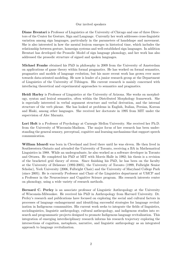### Our invited speakers

Diane Brentari is Professor of Linguistics at the University of Chicago and one of three Directors of the Center for Gesture, Sign and Language. Currently her work addresses cross-linguistic variation among sign languages, particularly in the parameters of handshape and movement. She is also interested in how the mental lexicon emerges in historical time, which includes the relationship between gesture, homesign systems and well-established sign languages. In addition Brentari has developed the Prosodic Model of sign language phonology, and her work has also addressed the prosodic structure of signed and spoken languages.

Michael Franke obtained his PhD in philosophy in 2009 from the University of Amsterdam on applications of game theory within formal pragmatics. He has worked on formal semantics, pragmatics and models of language evolution, but his more recent work has grown ever more towards data-oriented modeling. He now is leader of a junior research group at the Department of Linguistics of the University of Tübingen. His current research is mainly concerned with interfacing theoretical and experimental approaches to semantics and pragmatics.

Heidi Harley is Professor of Linguistics at the University of Arizona. She works on morphology, syntax and lexical semantics, often within the Distributed Morphology framework. She is especially interested in verbal argument structure and verbal derivation, and the internal structure of the verb phrase. She has looked at problems in English, Italian, Persian, Korean and Hiaki, among other languages. She received her doctorate in 1995 from MIT under the supervision of Alec Marantz.

Lori Holt is a Professor of Psychology at Carnegie Mellon University. She received her Ph.D. from the University of Wisconsin-Madison. The major focus of her research has been understanding the general sensory, perceptual, cognitive and learning mechanisms that support speech communication.

William Idsardi was born in Cleveland and lived there until he was eleven. He then lived in Southwestern Ontario and attended the University of Toronto, receiving a BA in Mathematical Linguistics in 1988. While an undergraduate, he also worked as a software developer in Toronto and Ottawa. He completed his PhD at MIT with Morris Halle in 1992; his thesis is a revision of the bracketed grid theory of stress. Since finishing his PhD, he has been on the faculty at the University of Delaware (1992-2005), the University of Toronto (1999, Fulbright Senior Scholar), York University (2006, Fulbright Chair) and the University of Maryland College Park (since 2005). He is currently Professor and Chair of the Linguistics department at UMCP and a Professor in the Neuroscience and Cognitive Science program. His research interests center on phonology, using a wide variety of research methods.

Bernard C. Perley is an associate professor of Linguistic Anthropology at the University of Wisconsin-Milwaukee. He received his PhD in Anthropology from Harvard University. Dr. Perley's research and publications have focused on exploring the social and cultural factors in processes of language endangerment and identifying successful strategies for language revitalization in Indigenous communities. His current work seeks to integrate the fields of linguistics, sociolinguistics, linguistic anthropology, cultural anthropology, and indigenous studies into research and programmatic projects designed to promote Indigenous language revitalization. This integration of emerging interdisciplinary research informs his research trajectory exploring the intersections of cognition, metaphors, narrative, and linguistic anthropology as an integrated approach to language revitalization.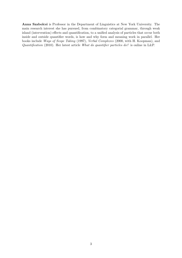Anna Szabolcsi is Professor in the Department of Linguistics at New York University. The main research interest she has pursued, from combinatory categorial grammar, through weak island (intervention) effects and quantification, to a unified analysis of particles that occur both inside and outside quantifier words, is how and why form and meaning work in parallel. Her books include Ways of Scope Taking (1997), Verbal Complexes (2000, with H. Koopman), and Quantification (2010). Her latest article What do quantifier particles do? is online in L&P.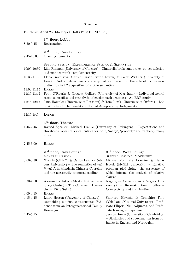# Schedule

Thursday, April 23, Ida Noyes Hall (1212 E. 59th St.)

|                 | 3 <sup>rd</sup> floor, Lobby                                                                                                                                                |                                                                                     |  |  |
|-----------------|-----------------------------------------------------------------------------------------------------------------------------------------------------------------------------|-------------------------------------------------------------------------------------|--|--|
| 8:30-9:45       | Registration                                                                                                                                                                |                                                                                     |  |  |
|                 | 2 <sup>nd</sup> floor, East Lounge                                                                                                                                          |                                                                                     |  |  |
| $9:45 - 10:00$  | Opening Remarks                                                                                                                                                             |                                                                                     |  |  |
|                 |                                                                                                                                                                             |                                                                                     |  |  |
|                 | SPECIAL SESSION: EXPERIMENTAL SYNTAX & SEMANTICS                                                                                                                            |                                                                                     |  |  |
| 10:00-10:30     |                                                                                                                                                                             | Lilia Rissman (University of Chicago) – Cinderella broke and broke: object deletion |  |  |
|                 | and manner-result complementarity                                                                                                                                           |                                                                                     |  |  |
| 10:30-11:00     | Elena Gavruseva, Garret Larson, Sarah Lowen, & Caleb Widmer (University of<br>Iowa) – Not all determiners are acquired en masse: on the role of count/mass                  |                                                                                     |  |  |
|                 | distinction in L2 acquisition of article semantics                                                                                                                          |                                                                                     |  |  |
| $11:00-11:15$   | <b>BREAK</b>                                                                                                                                                                |                                                                                     |  |  |
| $11:15 - 11:45$ |                                                                                                                                                                             | Polly O'Rourke & Gregory Colflesh (University of Maryland) – Individual neural      |  |  |
|                 | response profiles and reanalysis of garden-path sentences: An ERP study                                                                                                     |                                                                                     |  |  |
| 11:45-12:15     |                                                                                                                                                                             | Jana Häussler (University of Potsdam) & Tom Juzek (University of Oxford) – Lab      |  |  |
|                 | or Armchair? The benefits of Formal Acceptability Judgements                                                                                                                |                                                                                     |  |  |
| $12:15 - 1:45$  | LUNCH                                                                                                                                                                       |                                                                                     |  |  |
|                 |                                                                                                                                                                             |                                                                                     |  |  |
|                 | 3 <sup>rd</sup> floor, Theater                                                                                                                                              |                                                                                     |  |  |
| $1:45-2:45$     | Invited Speaker: Michael Franke (University of Tübingen) – Expectations and<br>thresholds: optimal lexical entries for 'tall', 'many', 'probably' and probably many<br>more |                                                                                     |  |  |
|                 |                                                                                                                                                                             |                                                                                     |  |  |
|                 |                                                                                                                                                                             |                                                                                     |  |  |
| $2:45-3:00$     | <b>BREAK</b>                                                                                                                                                                |                                                                                     |  |  |
|                 |                                                                                                                                                                             |                                                                                     |  |  |
|                 | 2 <sup>nd</sup> floor, East Lounge<br><b>GENERAL SESSION</b>                                                                                                                | 2 <sup>nd</sup> floor, West Lounge<br>SPECIAL SESSION: MOVEMENT                     |  |  |
| $3:00 - 3:30$   | Xiao Li (CUNY) & Carlos Fasola (Rut-                                                                                                                                        | Michael Yoshitaka Erlewine & Hadas                                                  |  |  |
|                 | gers University) – The semantics of yuè                                                                                                                                     | Kotek (McGill University) – Relative                                                |  |  |
|                 | V yuè A in Mandarin Chinese: Coercion                                                                                                                                       | pronoun pied-piping, the structure of                                               |  |  |
|                 | and the necessarily temporal reading                                                                                                                                        | which informs the analysis of relative                                              |  |  |
|                 |                                                                                                                                                                             | clauses                                                                             |  |  |
| $3:30-4:00$     | Alessandro Jaker (Alaska Native Lan-<br>guage $Center)$ – The Consonant Hierar-                                                                                             | Nagarajan Selvanathan (Rutgers Uni-<br>versity) – Reconstruction, Reflexive         |  |  |
|                 | chy in Dëne Suliné                                                                                                                                                          | Connectivity and LF Deletion                                                        |  |  |
| $4:00 - 4:15$   | <b>BREAK</b>                                                                                                                                                                |                                                                                     |  |  |
| $4:15 - 4:45$   | Laura Horton (University of Chicago) –                                                                                                                                      | Shintaro Hayashi & Tomohiro Fujii                                                   |  |  |
|                 | Assembling nominal constituents: Evi-                                                                                                                                       | (Yokohama National University) – Pred-                                              |  |  |
|                 | dence from an Intergenerational Family                                                                                                                                      | icate Ellipsis, Null Adjuncts, and Predi-                                           |  |  |
| $4:45-5:15$     | Homesign                                                                                                                                                                    | cate Raising in Japanese<br>Jessica Brown (University of Cambridge)                 |  |  |
|                 | - Blackholes and subextraction from ad-                                                                                                                                     |                                                                                     |  |  |
|                 |                                                                                                                                                                             | juncts in English and Norwegian                                                     |  |  |
|                 |                                                                                                                                                                             |                                                                                     |  |  |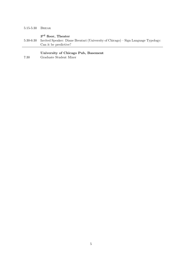| $5:15-5:30$ | BREAK                                                                                                                                        |
|-------------|----------------------------------------------------------------------------------------------------------------------------------------------|
| $5:30-6:30$ | 3 <sup>rd</sup> floor, Theater<br>Invited Speaker: Diane Brentari (University of Chicago) – Sign Language Typology:<br>Can it be predictive? |
| 7:30        | University of Chicago Pub, Basement<br>Graduate Student Mixer                                                                                |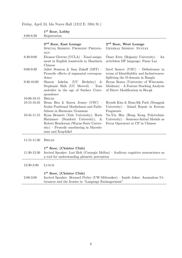# Friday, April 24, Ida Noyes Hall (1212 E. 59th St.)

| $8:00 - 8:30$                      | 1st floor, Lobby<br>Registration                                                                                                                                                                                              |                                                                                                                                |  |
|------------------------------------|-------------------------------------------------------------------------------------------------------------------------------------------------------------------------------------------------------------------------------|--------------------------------------------------------------------------------------------------------------------------------|--|
|                                    | 2 <sup>nd</sup> floor, East Lounge<br>SPECIAL SESSION: PROSODIC PHONOL-<br>OGY                                                                                                                                                | 2 <sup>nd</sup> floor, West Lounge<br><b>GENERAL SESSION: SYNTAX</b>                                                           |  |
| 8:30-9:00                          | Eleanor Glewwe $(UCLA)$ – Tonal assign-<br>ment in English loanwords in Mandarin<br>Chinese                                                                                                                                   | Ömer Eren (Boğaziçi University) – An<br>articleless DP language: Pazar Laz                                                     |  |
| $9:00-9:30$                        | Juliet Stanton & Sam Zukoff (MIT) -<br>Prosodic effects of segmental correspon-<br>dence                                                                                                                                      | Syed Saurov $(USC)$ – Definiteness in<br>terms of Identifiablity and Inclusiveness:<br>Splitting the D-domain in Bangla        |  |
| $9:30-10:00$                       | Inkelas<br>(UC)<br>Sharon<br>Berkeley)<br>&<br>Stephanie Shih (UC Merced) - Tone<br>melodies in the age of Surface Corre-<br>spondence                                                                                        | Bryan Rosen (University of Wisconsin-<br>$Madison) - A Feature Stacking Analysis$<br>of Direct Modification in Hocak           |  |
| $10:00 - 10:15$<br>$10:15 - 10:45$ | <b>BREAK</b><br>Brian Hsu & Karen Jesney (USC) $-$<br>Scalar Positional Markedness and Faith-                                                                                                                                 | Hyosik Kim & Bum-Sik Park (Dongguk<br>University) - Island Repair in Korean                                                    |  |
| 10:45-11:15                        | fulness in Harmonic Grammar<br>Ryan Bennett (Yale University), Boris<br>Harizanov (Stanford University),<br>$-\&$<br>Robert Henderson (Wayne State Univer-<br>$sity$ ) – Prosodic smothering in Macedo-<br>nian and Kaqchikel | Fragments<br>Yu-Yin Hsu (Hong Kong Polytechnic<br>University) – Sentence-Initial Modals as<br>Focus Operators at CP in Chinese |  |
| $11:15 - 11:30$                    | <b>BREAK</b>                                                                                                                                                                                                                  |                                                                                                                                |  |
| 11:30-12:30                        | 1 <sup>st</sup> floor, (Cloister Club)<br>Invited Speaker: Lori Holt (Carnegie Mellon) – Auditory cognitive neuroscience as<br>a tool for understanding phonetic perception                                                   |                                                                                                                                |  |
| 12:30-2:00                         | LUNCH                                                                                                                                                                                                                         |                                                                                                                                |  |
| $2:00-3:00$                        | 1 <sup>st</sup> floor, (Cloister Club)<br>Invited Speaker: Bernard Perley (UW-Milwaukee) - Inside Jokes: Anomalous Ut-<br>terances and the Ironies in "Language Endangerment"                                                 |                                                                                                                                |  |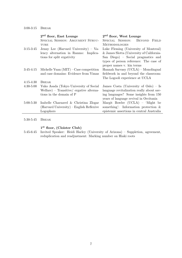|               | 2 <sup>nd</sup> floor, East Lounge       | 2 <sup>nd</sup> floor, West Lounge        |
|---------------|------------------------------------------|-------------------------------------------|
|               | SPECIAL SESSION: ARGUMENT STRUC-         | SPECIAL SESSION:<br>BEYOND<br>FIELD       |
|               | TURE                                     | <b>METHODOLOGIES</b>                      |
| $3:15 - 3:45$ | Jenny Lee (Harvard University) – Va-     | Luke Fleming (University of Montreal)     |
|               | lency alternation in Ranmo: Implica-     | & James Slotta (University of California- |
|               | tions for split ergativity               | San Diego) – Social pragmatics and        |
|               |                                          | types of person reference: The case of    |
|               |                                          | proper names v. kin terms                 |
| 3:45-4:15     | Michelle Yuan $(MIT)$ – Case competition | Hannah Sarvasy (UCLA) - Monolingual       |
|               | and case domains: Evidence from Yimas    | fieldwork in and beyond the classroom:    |
|               |                                          | The Logooli experience at UCLA            |
| $4:15 - 4:30$ | <b>BREAK</b>                             |                                           |
| $4:30-5:00$   | Yuko Asada (Tokyo University of Social   | James Costa (University of Oslo) $-$ Is   |
|               | Welfare) – Transitive/ ergative alterna- | language revitalization really about sav- |
|               | tions in the domain of P                 | ing languages? Some insights from 150     |
|               |                                          | years of language revival in Occitania    |
| $5:00 - 5:30$ | Isabelle Charnavel & Christina Zlogar    | Margit Bowler (UCLA) – 'Might be          |
|               | (Harvard University) – English Reflexive | something: Information protection $\&$    |
|               | Logophors                                | epistemic assertions in central Australia |
|               |                                          |                                           |

5:30-5:45 Break

 $\overline{a}$ 

### 1 st floor, (Cloister Club)

5:45-6:45 Invited Speaker: Heidi Harley (University of Arizona) – Suppletion, agreement, reduplication and readjustment: Marking number on Hiaki roots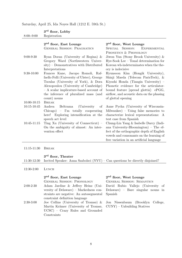Saturday, April 25, Ida Noyes Hall (1212 E. 59th St.)

|                                 | 3 <sup>rd</sup> floor, Lobby                                                                                                                                                                                                                                                          |                                                                                                                                                                                                                                                                        |
|---------------------------------|---------------------------------------------------------------------------------------------------------------------------------------------------------------------------------------------------------------------------------------------------------------------------------------|------------------------------------------------------------------------------------------------------------------------------------------------------------------------------------------------------------------------------------------------------------------------|
| $8:00:-9:00$                    | Registration                                                                                                                                                                                                                                                                          |                                                                                                                                                                                                                                                                        |
|                                 | 2 <sup>nd</sup> floor, East Lounge<br><b>GENERAL SESSION: PRAGMATICS</b>                                                                                                                                                                                                              | 2 <sup>nd</sup> floor, West Lounge<br><b>EXPERIMENTAL</b><br>SESSION:<br><b>SPECIAL</b><br>PHONETICS & PHONOLOGY                                                                                                                                                       |
| $9:00-9:30$                     | Ryan Doran (University of Regina) $\&$<br>Gregory Ward (Northwestern Univer-<br>$sity$ ) – Demonstratives with Distributed<br>Interpretations                                                                                                                                         | Jiwon Yun (Stony Brook University) $\&$<br>Hye-Sook Lee $-$ Tonal determination for<br>Korean wh-indeterminates when the the-<br>ory is indecisive                                                                                                                     |
| $9:30-10:00$<br>$10:00 - 10:15$ | Frances Kane, Jacopo Romoli, Raf-<br>faello Folli (University of Ulster), George<br>Tsoulas (University of York), & Dora<br>Alexopoulou (University of Cambridge)<br>- A scalar implicature-based account of<br>the inference of pluralized mass (and<br>count) nouns<br><b>BREAK</b> | Hyunsoon Kim (Hongik University),<br>Shinji Maeda (Telecom ParisTech), &<br>Kiyoshi Honda (Tiangin University) –<br>Phonetic evidence for the articulator-<br>bound feature [spread glottis]: ePGG,<br>airflow, and acoustic data on the phasing<br>of glottal opening |
| $10:15 - 10:45$                 | Andrea<br>Beltrama<br>(University)<br>οf<br>$Chicago) - I'm$ totally cooperating<br>here! Exploring intensification at the<br>speech act level                                                                                                                                        | Anne Pycha (University of Wisconsin-<br>Milwaukee $)$ – Using false memories to<br>characterize lexical representations: A<br>test case from Spanish                                                                                                                   |
| $10:45-11:15$                   | Ting Xu (University of Connecticut) $-$<br>On the ambiguity of almost: An inter-<br>vention effect                                                                                                                                                                                    | Chung-Lin Yang & Isabelle Darcy (Indi-<br>ana University-Bloomington) – The ef-<br>fect of the orthographic depth of English<br>vowels and consonants on the learning of<br>free variation in an artificial language                                                   |

11:15-11:30 Break

### 3<sup>rd</sup> floor, Theater

| 11:30-12:30 Invited Speaker: Anna Szabolsci (NYU) – Can questions be directly disjoined? |  |  |  |
|------------------------------------------------------------------------------------------|--|--|--|
|------------------------------------------------------------------------------------------|--|--|--|

12:30-2:00 Lunch

# 2<sup>nd</sup> floor, East Lounge

UCSC) – Crazy Rules and Grounded

2:00-2:30 Adam Jardine & Jeffrey Heinz (University of Delaware) – Markedness constraints are negative: An autosegmental constraint definition language 2:30-3:00 Joe Collins (University of Tromsø) & Martin Krämer (University of Tromsø,

Constraints

## $2<sup>nd</sup>$  floor, West Lounge

### General Session: Phonology General Session: Semantics David Rubio Vallejo (University of Delaware) – Bare singular nouns in Spanish

Jon Nissenbaum (Brooklyn College, CUNY) – Unbuilding Statives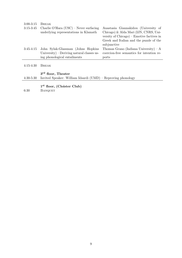| $3:00 - 3:15$ | <b>BREAK</b>                               |                                                                                       |
|---------------|--------------------------------------------|---------------------------------------------------------------------------------------|
| $3:15-3:45$   | Charlie O'Hara $(USC)$ – Never surfacing   | Anastasia Giannakidou (University of                                                  |
|               | underlying representations in Klamath      | Chicago) & Alda Mari (IJN, CNRS, Uni-<br>versity of $Chicago$ ) – Emotive factives in |
|               |                                            | Greek and Italian and the puzzle of the<br>subjunctive                                |
| $3:45-4:15$   | John Sylak-Glassman (Johns Hopkins         | Thomas Grano (Indiana University) – $A$                                               |
|               | University) – Deriving natural classes us- | coercion-free semantics for intention re-                                             |
|               | ing phonological entailments               | ports                                                                                 |
| $4:15-4:30$   | BREAK                                      |                                                                                       |

4:30-5:30 Invited Speaker: William Idsardi (UMD) – Reproving phonology

3 rd floor, Theater

- 1 st floor, (Cloister Club)
- 6:30 BANQUET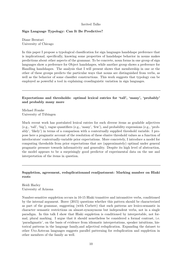### Invited Talks

### Sign Language Typology: Can It Be Predictive?

Diane Brentari University of Chicago

In this paper I propose a typological classification for sign languages handshape preference that is implicational; specifically, knowing some properties of handshape behavior in nouns makes predictions about other aspects of the grammar. To be concrete, noun forms in one group of sign languages show a preference for Object handshapes, while another group shows a preference for Handling handshapes. The analysis that I will present shows that membership in one or the other of these groups predicts the particular ways that nouns are distinguished from verbs, as well as the behavior of some classifier constructions. This work suggests that typology can be employed as powerful a tool in explaining crosslinguistic variation in sign languages.

### Expectations and thresholds: optimal lexical entries for 'tall', 'many', 'probably' and probably many more

Michael Franke University of Tübingen

Much recent work has postulated lexical entries for such diverse items as gradable adjectives (e.g., 'tall', 'big'), vague quantifiers (e.g., 'many', 'few'), and probability expressions (e.g., 'probably', 'likely') in terms of a comparison with a contextually supplied threshold variable. I propose here a pragmatic account of the resolution of these elusive threshold values as a function of interlocutors' contextually-variable prior expectations. More concretely, I introduce a model for computing thresholds from prior expectations that are (approximately) optimal under general pragmatic pressure towards informativity and generality. Despite its high level of abstraction, the model appears to be a surprisingly good predictor of experimental data on the use and interpretation of the items in question.

### Suppletion, agreement, reduplicationand readjustment: Marking number on Hiaki roots

Heidi Harley University of Arizona

Number-sensitive suppletion occurs in 10-15 Hiaki transitive and intransitive verbs, conditioned by the internal argument. Borer (2015) questions whether this pattern should be characterized as part of the grammar, suggesting (with Corbett) that such patterns are lexico-semantic in character–semantic restrictions on almost-synonymous but independent verbs, not in a single paradigm. In this talk I show that Hiaki suppletion is conditioned by interpretable, not formal, plural marking. I argue that it should nonetheless be considered a formal contrast, i.e. 'paradigmatic', on the basis of evidence from idiomatic interpretations, speaker intuitions, historical patterns in the language family,and adjectival reduplication. Expanding the dataset to other Uto-Aztecan languages suggests parallel patterning for reduplication and suppletion in other members of the family as well.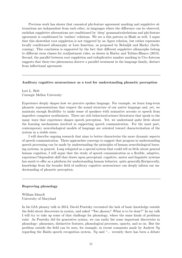Previous work has shown that canonical phi-feature agreement marking and suppletive alternations are independent from each other, in languages where the difference can be observed, suchthat suppletive alternations are conditioned by 'deep' grammaticalrelations and phi-feature agreement is conditioned by 'surface' relations. We see a this pattern in Hiaki as well. I argue that this showsthat root suppletion is not triggered by an Agree relation, but rather represents locally conditioned allomorphy at Late Insertion, as proposed by Bobaljik and Harley (forthcoming). This conclusion is supported by the fact that different suppletive allomorphs belong to different stem classes for readjustment rules, as shown in Harley and Tubino-Blanco (2013). Second, the parallel between root suppletion and reduplicative number marking in Uto-Aztecan suggests that these two phenomena deserve a parallel treatment in the language family, distinct from inflectional agreement.

### Auditory cognitive neuroscience as a tool for understanding phonetic perception

Lori L. Holt Carnegie Mellon University

Experience deeply shapes how we perceive spoken language. For example, we learn long-term phonetic representations that respect the sound structure of our native language and, yet, we maintain enough flexibility to make sense of speakers with nonnative accents or speech from imperfect computer synthesizers. There are rich behavioral-science literatures that speak to the many ways that experience shapes speech perception. Yet, we understand quite little about the learning mechanisms involved in supporting speech communication. For the most part, contemporary neurobiological models of language are oriented toward characterization of the system in a stable state.

I will describe ongoing research that aims to better characterize the more dynamic aspects of speech communication. These approaches converge to suggest that progress in understanding speech processing can be made by understanding the principles of human neurobiological learning systems, in general. Long relegated as a special system that could tell us little about general human cognition, I will argue that the study of speech communication as a flexible, adaptive, experience?dependent skill that draws upon perceptual, cognitive, motor and linguistic systems has much to offer as a platform for understanding human behavior, quite generally. Reciprocally, knowledge from the broader field of auditory cognitive neuroscience can deeply inform our understanding of phonetic perception.

#### Reproving phonology

William Idsardi University of Maryland

In his LSA plenary talk in 2013, David Pesetsky recounted the lack of basic knowledge outside the field about discoveries in syntax, and asked "Что делать? What is to be done?" In my talk I will try to take up some of that challenge for phonology, where the same kinds of problems exist. As Pesetsky did for generative syntax, we can easily list some important discoveries in phonology: phonemes, distinctive features, phonological processes, opacity, and so on. But the problem outside the field can be seen, for example, in recent comments made by Andrew Ng regarding the Baidu speech recognition system. Ng said "... recently there has been a debate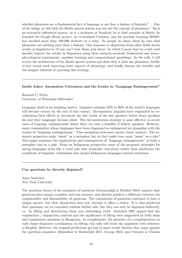whether phonemes are a fundamental fact of language or are they a fantasy of linguists? ... One of the things we did with the Baidu speech system was not use the concept of phonemes." Ng is an extremely influential person: he is a professor at Stanford, he is chief scientist at Baidu, he founded the Google Brain project, he co-founded Coursera, and his machine learning MOOC has enrolled more than 100,000 students at a time. So people do listen when he says that phonemes are nothing more than a fantasy. One response to skepticism from other fields about results in linguistics is "if you can't beat them, join them" by which I mean that we could (and should) reprove the results in linguistics using their research methods (behavioral and neurophysiological experiments, machine learning and computational modeling). In the talk, I will review the architecture of the Baidu speech system and show that it does use phonemes, briefly review recent work reproving some aspects of phonology, and briefly discuss the benefits and the dangers inherent in pursuing this strategy.

### Inside Jokes: Anomalous Utterances and the Ironies in "Language Endangerment"

Bernard C. Perley University of Wisconsin-Milwaukee

Language death is no laughing matter. Linguists estimate 50% to 90% of the world's languages will become extinct by the end of this century. Documentary linguists have responded by coordinating their efforts to document the last words of the last speakers before those speakers die and their languages become silent. The documentation strategy is most effective in severe cases of language endangerment where there are only a handful of elderly speakers. However, many communities whose languages have been diagnosed as endangered are grappling with the ironies of "language endangerment." This anomalous utterance merits closer analysis. The semantic properties make "sense" as a metaphor but do they make even more "sense" as a joke? This paper examines the implications and consequences of "language endangerment" as both a metaphor and as a joke. From an Indigenous perspective some of the proposed strategies for saving languages seem like a cruel joke that ironically exacerbate rather than ameliorate the conditions of linguistic colonialism that propel Indigenous languages toward extinction.

### Can questions be directly disjoined?

Anna Szabolcsi New York University

The partition theory of the semantics of questions (Groenendijk & Stokhof 1984) requires that questions have unique complete and true answers, and thereby predicts a difference between the conjoinability and disjoinability of questions. The conjunction of questions continues to have a unique answer, but their disjunction does not, because it offers a choice. It is thus predicted that questions can be conjoined without further ado, but they can only be disjoined indirectly, i.e. by lifting and distributing them over embedding verbs. Szabolcsi 1997 argued that the conjunction / disjunction contrast and the significance of lifting were supported by both main and complement questions in Hungarian. In complements, the presence of a complementizer in each clause diagnoses coordination via lifting; this talk will boost the argument with reference to English. However, the original predictions get lost in more recent theories that argue against the partition semantics (Klinedinst & Rothschild 2011, George 2013, and Cremers & Chemla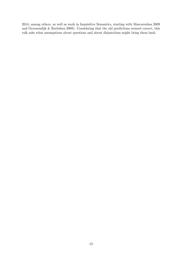2014, among others, as well as work in Inquisitive Semantics, starting with Mascarenhas 2009 and Groenendijk & Roelofsen 2009). Considering that the old predictions seemed correct, this talk asks what assumptions about questions and about disjunctions might bring them back.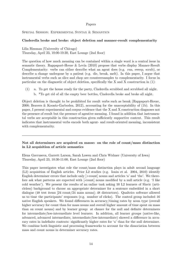### Papers

Special Session: Experimental Syntax & Semantics

### Cinderella broke and broke: object deletion and manner-result complementarity

Lilia Rissman (University of Chicago) Thursday, April 23, 10:00-10:30, East Lounge (2nd floor)

The question of how much meaning can be contained within a single word is a central issue in semantic theory. Rappaport-Hovav & Levin (2010) propose that verbs display Manner-Result Complementarity: verbs can either describe what an agent does (e.g. run, sweep, scrub), or describe a change undergone by a patient (e.g. die, break, melt). In this paper, I argue that instrumental verbs such as slice and chop are counterexamples to complementarity. I focus in particular on the diagnostic of object deletion, specifically the X and X construction in (1):

(1) a. To get the house ready for the party, Cinderella scrubbed and scrubbed all night. b. \*To get rid of all the empty beer bottles, Cinderella broke and broke all night.

Object deletion is thought to be prohibited for result verbs such as break (Rappaport-Hovav, 2008; Beavers & Koontz-Garboden, 2012), accounting for the unacceptability of (1b). In this paper, I present experimental and corpus evidence that the X and X construction diagnoses not the presence of result but the presence of agentive meaning. I found in addition that instrumental verbs are acceptable in this construction given sufficiently supportive context. This result indicates that instrumental verbs encode both agent- and result-oriented meaning, inconsistent with complementarity.

### Not all determiners are acquired en masse: on the role of count/mass distinction in L2 acquisition of article semantics

Elena Gavruseva, Garrett Larson, Sarah Lowen and Chris Widmer (University of Iowa) Thursday, April 23, 10:30-11:00, East Lounge (2nd floor)

This paper investigates what role the count/mass distinction plays in adult second language (L2) acquisition of English articles. Prior L2 studies (e.g. Ionin et al. 2004, 2010) identify English determiner errors that include only  $[+count]$  nouns and articles 'a' and 'the'. We therefore ask what patterns are expected with [-count] nouns modified by a null article (e.g. 'I like cold weather'). We present the results of an online task asking 50 L2 learners of Slavic (articleless) background to choose an appropriate determiner for a sentence embedded in a short dialogue (48 test items [24 count/24 mass nouns]; 48 distractors). Qualtrics software allowed us to time the participants' responses (e.g. number of clicks). The control group included 16 native English speakers. We found differences in accuracy/timing rates by noun type (overall higher accuracy for count than for mass nouns and overall higher amount of time spent on mass than on count nouns) and by learner group: at chance for the null and definite determiners for intermediate/low-intermediate level learners. In addition, all learner groups (native-like, advanced, advanced intermediate, intermediate/low-intermediate) showed a difference in accuracy rates in indefinite contexts: significantly higher rates for 'a' than for the null determiner. We combine both linguistic and processing frameworks to account for the dissociation between mass and count nouns in determiner accuracy rates.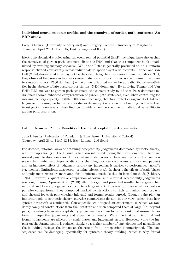### Individual neural response profiles and the reanalysis of garden-path sentences: An ERP study.

Polly O'Rourke (University of Maryland) and Gregory Colflesh (University of Maryland) Thursday, April 23, 11:15-11:45, East Lounge (2nd floor)

Electrophysiological studies using the event-related potential (ERP) technique have shown that the reanalysis of garden-path sentences elicits the P600 and that this component is also modulated by working memory capacity. While the P600 is generally presumed to be a uniform response elicited consistently across individuals to specific syntactic contexts, Tanner and van Hell (2014) showed that this may not be the case. Using their response-dominance index (RDI), they observed that some individuals showed late posterior positivities as the dominant response to syntactic errors (P600 dominant) while others exhibited earlier broadly distributed negativities in the absence of late posterior positivities (N400 dominant). By applying Tanner and Van Hell's RDI analysis to garden path sentences, the current study found that P600 dominant individuals showed enhanced comprehension of garden-path sentences, even when controlling for working memory capacity. N400/P600 dominance may, therefore, reflect engagement of distinct language processing mechanisms or strategies during syntactic structure building. While further investigation is necessary, these findings provide a new perspective on individual variability in garden-path resolution.

### Lab or Armchair? The Benefits of Formal Acceptability Judgements

Jana Häussler (University of Potsdam)  $\&$  Tom Juzek (University of Oxford) Thursday, April 23rd, 11:45-12:15, East Lounge (2nd floor)

For decades, informal ways of obtaining acceptability judgements dominated syntactic theory, with introspection (i.e. the linguist is her own informant) being the most common. There are several possible disadvantages of informal methods. Among them are the lack of a common scale (the number and types of diacritics that linguists use vary across authors and papers) and an increased effect of judgement errors (any judgement is subject to performance-"noise"; e.g. memory limitations, distractors, priming effects, etc.). In theory, the effects of scale biases and judgement errors are more amplified in informal methods than in formal methods (Schütze, 1996). However, a quantitative comparison of formal and informal acceptability judgements was long missing. Sprouse et al. (2013) filled this gap and presented results that suggest that informal and formal judgements concur to a large extent. However, Sprouse et al. focused on pairwise comparisons: They compared marked constructions to their unmarked counterparts and checked for each pair whether informal and formal results agreed. Though pairs play an important role in syntactic theory, pairwise comparisons do not, in our view, reflect best how syntactic research is conducted. Consequently, we designed an experiment, in which we randomly sampled constructions from the literature and then compared them at large (i.e. beyond pairs) to ratings from an acceptability judgement task. We found a non-trivial mismatch between introspective judgements and experimental results. We argue that both informal and formal judgements are affected by scale biases and judgement errors. However, while the impact on the formal results is reduced thanks to a higher number of participants and normalising the individual ratings, the impact on the results from introspection is unmitigated. The consequences can be damaging, specifically for syntactic theory building, which is why formal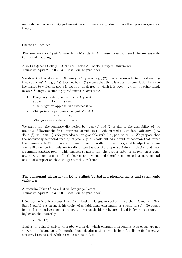methods, and acceptability judgement tasks in particularly, should have their place in syntactic theory.

### General Session

### The semantics of yuè V yuè A in Mandarin Chinese: coercion and the necessarily temporal reading

Xiao Li (Queens College, CUNY) & Carlos A. Fasola (Rutgers University) Thursday, April 23, 3:00-3:30, East Lounge (2nd floor)

We show that in Mandarin Chinese yuè V yuè A  $(e.g., (2))$  has a necessarily temporal reading that yuè A yuè A  $(e.g., (1))$  does not have: (1) means that there is a positive correlation between the degree to which an apple is big and the degree to which it is sweet; (2), on the other hand, means: Zhangsan's running speed increases over time.

- (1) Píngguǒ yuè dà, yuè tián. yuè A yuè A apple big sweet 'The bigger an apple is, the sweeter it is.'
- (2) Zhāngsān yuè pǎo yuè kuài. yuè V yuè A run fast

'Zhangsan ran faster and faster.'

We argue that the semantic distinction between (1) and (2) is due to the gradability of the predicate following the first occurrence of yue: in  $(1)$  yue<sub>1</sub> precedes a gradable adjective (i.e., dà 'big'), while in  $(2)$  yuè<sub>1</sub> precedes a non-gradable verb (i.e., pǎo 'to run'). We propose that the necessarily temporal reading of yue V yue A falls out as a result of coercion that forces the non-gradable VP to have an ordered domain parallel to that of a gradable adjective, where events like degree intervals are totally ordered under the proper subinterval relation and have a common starting point. This analysis suggests that the proper subinterval relation is compatible with comparisons of both degrees and events, and therefore can encode a more general notion of comparison than the greater than relation.

### The consonant hierarchy in Dëne Suliné: Verbal morphophonemics and synchronic variation

Alessandro Jaker (Alaska Native Language Center) Thursday, April 23, 3:30-4:00, East Lounge (2nd floor)

Dëne Syliné is a Northeast Dene (Athabaskan) language spoken in northern Canada. Dëne Suliné exhibits a strength hierarchy of syllable-final consonants as shown in  $(1)$ . To repair impermissible coda clusters, consonants lower on the hierarchy are deleted in favor of consonants higher on the hierarchy.

(3)  $s,z \gg l, l \gg th$ , dh

That is, alveolar fricatives rank above laterals, which outrank interdentals; stop codas are not allowed in this language. In morphophonemic alternations, which simplify syllable-final fricative clusters, l replaces th while s replaces l, as in (2):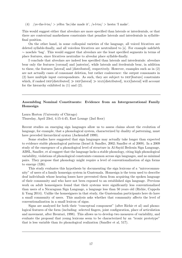(4) /ye-the-l-tsi/ > yéltsi 'he/she made it', /s-l-tsi/ > hestsi 'I make'.

This would suggest either that alveolars are more specified than laterals or interdentals, or that there are contextual markedness constraints that penalize laterals and interdentals in syllablefinal position.

On the other hand, in some colloquial varieties of the language, all voiced fricatives are deleted syllable-finally, and all voiceless fricatives are neutralized to  $[s]$ . For example natches  $\sim$  noschés 'bag'. This would suggest that alveolars are the least specified segments in terms of place features, since fricatives neutralize to alveolar place syllable-finally.

I conclude that alveolars are indeed less specified than laterals and interdentals: alveolars bear only the features [coronal] and [anterior], while laterals and iterdentals bear, in addition to these, the features [lateral] and [distributed], respectively. However, examples such as in (2) are not actually cases of consonant deletion, but rather coalescence: the output consonants in (2) have multiple input correspondents. As such, they are subject to dep[feature] constraints which, if ranked DEP[distributed]  $\gg$  DEP[lateral]  $\gg$  MAX[distributed], MAX[lateral] will account for the hierarchy exhibited in (1) and (2).

### Assembling Nominal Constituents: Evidence from an Intergenerational Family Homesign

Laura Horton (University of Chicago) Thursday, April 23rd, 4:15-4:45, East Lounge (2nd floor)

Recent studies on emerging sign languages allow us to assess claims about the evolution of language, for example, that a phonological system, characterized by duality of patterning, must have preceded hierarchical syntax (Jackendoff 1999).

Some studies have suggested that sign languages may actually take longer than expected to evidence stable phonological patterns (Israel & Sandler, 2002; Sandler et al 2009). In a 2009 study of the emergence of a phonological level of structure in Al-Sayid Bedouin Sign Language, ABSL, Sandler, et al suggest that the language lacks a stable phonology, citing high phonological variability, violations of phonological constraints common across sign languages, and no minimal pairs. They propose that phonology might require a level of conventionalization of sign forms to emerge (526).

This study evaluates this hypothesis by documenting the sign lexicons of a "microcommunity" of users of a family homesign system in Guatemala. Homesign is the term used to describe deaf individuals whose hearing losses have prevented them from acquiring the spoken language of their community and who have not been exposed to an established sign language. Previous work on adult homesigners found that their systems were significantly less conventionalized than users of a Nicaraguan Sign Language, a language less than 50 years old (Richie, Coppola & Yang 2014). Unlike the homesigners in that study, the Guatemalan participants here do have a small community of users. This analysis asks whether that community affects the level of conventionalization in a small lexicon of signs.

Signs are analyzed for both their "conceptual component" (after Richie et al) and phonological features of the form (including: selected fingers, joint configuration, place of articulation and movement, after Brentari, 1998). This allows us to develop two measures of variability, and evaluate the proposal that young lexicons seem to be characterized by an "iconic prototype" that is less variable than its phonological realization (Sandler et al, 517).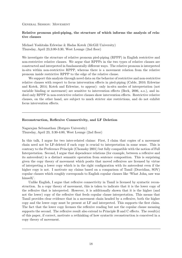General Session: Movement

### Relative pronoun pied-piping, the structure of which informs the analysis of relative clauses

Michael Yoshitaka Erlewine & Hadas Kotek (McGill University) Thursday, April 23,3:00-3:30, West Lounge (2nd floor)

We investigate the structure of relative pronoun pied-piping (RPPP) in English restrictive and non-restrictive relative clauses. We argue that RPPPs in the two types of relative clauses are constructed and interpreted in fundamentally different ways. The relative pronoun is interpreted in-situ within non-restrictive RPPP, whereas there is a movement relation from the relative pronoun inside restrictive RPPP to the edge of the relative clause.

We support this analysis through novel data on the behavior of restrictive and non-restrictive relative clauses with respect to focus intervention effects in pied-piping (Cable, 2010; Erlewine and Kotek, 2014; Kotek and Erlewine, to appear): only in-situ modes of interpretation (not variable binding or movement) are sensitive to intervention effects (Beck, 2006, a.o.), and indeed only RPPP in non-restrictive relative clauses show intervention effects. Restrictive relative clauses, on the other hand, are subject to much stricter size restrictions, and do not exhibit focus intervention effects.

### Reconstruction, Reflexive Connectivity, and LF Deletion

Nagarajan Selvanathan (Rutgers University) Thursday, April 23, 3:30-4:00, West Lounge (2nd floor)

In this talk, I argue for two inter-related claims: First, I claim that copies of a movement chain need not be LF-deleted if each copy is crucial to interpretation in some sense. This is contrary to the Preference Principle (Chomsky 2001) but fully compatible with the notion of Full Interpretation. Second, I argue that dependence relations (for example, between a reflexive and its antecedent) is a distinct semantic operation from sentence composition. This is surprising given the copy theory of movement which posits that moved reflexives are licensed by virtue of interpreting a lower copy which is in the right configuration with its antecedent even if the higher copy is not. I motivate my claims based on a comparison of Tamil (Dravidian, SOV) copular clauses which roughly corresponds to English copular clauses like 'What John<sup>i</sup> saw was himself<sub>i</sub>'.

Unlike English, I argue that reflexive connectivity in Tamil is licensed by syntactic reconstruction. In a copy theory of movement, this is taken to indicate that it is the lower copy of the reflexive that is interpreted. However, it is additionally shown that it is the higher (and not the lower) copy of the reflexive that feeds copular clause interpretation. This means that Tamil provides clear evidence that in a movement chain headed by a reflexive, both the higher copy and the lower copy must be present at LF and interpreted. This supports the first claim. The fact that the lower copy licenses the reflexive reading but not the copular clause meaning supports the second. The reflexive result also extend to Principle B and C effects. The result(s) of this paper, if correct, motivate a rethinking of how syntactic reconstruction is conceived in a copy theory of movement.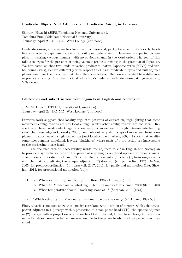### Predicate Ellipsis, Null Adjuncts, and Predicate Raising in Japanese

Shintaro Hayashi (JSPS/Yokohama National University) & Tomohiro Fujii (Yokohama National University) Thursday, April 23, 4:15-4:45, West Lounge (2nd floor)

Predicate raising in Japanese has long been controversial, partly because of the strictly headfinal character of Japanese. Due to this trait, predicate raising in Japanese is expected to take place in a string-vacuous manner, with no obvious change in the word order. The goal of this talk is to argue for the presence of string-vacuous predicate raising in the grammar of Japanese. We first establish that two kinds of verbal predicates, native Japanese verbs (NJVs) and verbal nouns (VNs), behave differently with respect to ellipsis: predicate ellipsis and null adjunct phenomena. We then propose that the differences between the two are related to a difference in predicate raising. Our claim is that while NJVs undergo predicate raising string-vacuously, VNs do not.

### Blackholes and subextraction from adjuncts in English and Norwegian

J. M. M. Brown (DTAL, University of Cambridge) Thursday, April 23, 4:45-5:15, West Lounge (2nd floor)

Previous work suggests that locality regulates patterns of extraction, highlighting that some movement configurations are not local enough whilst other configurations are too local. Respectively these constraints trigger successive-cyclic movement through intermediate landing sites (the phase edge in Chomsky, 2001), and rule out very short steps of movement from complement to specifier of a single projection (anti-locality in e.g. Abels, 2003). I show that locality sometimes remains undefined, leaving 'blackholes' where parts of a projection are inaccessible to the projecting phase head.

I use one such area of inaccessibility inside free adjuncts to vP in English and Norwegian to provide a syntactic solution to the puzzle of why single eventhood appears to repair islands. The puzzle is illustrated in  $(1)$  and  $(2)$ : whilst the transparent adjuncts in  $(1)$  form single events with the matrix predicate, the opaque adjunct in (2) does not (cf. Schmerling, 1975, De Vos, 2005, for pseudocoordination (1a); Truswell, 2007, 2011, for participial adjunction (1b); Sheehan, 2013, for prepositional adjunction  $(1c)$ ).

- (1) a. Which car did I go and buy ? (cf. Ross, 1967:(4.108a,b,c), 170)
	- b. What did Monica arrive whistling ? (cf. Borgonovo & Neeleman, 2000:(3a,b), 200)
	- c. What temperature should I wash my jeans at  $\frac{1}{2}$  (Sheehan, 2010:(16a))
- (2) \*Which celebrity did Mary eat an ice cream before she saw ? (cf. Huang, 1982:503)

First, adverb scope tests show that opacity correlates with position of merger: whilst the transparent adjuncts in (1) merge with a projection of a non-phase head (VP), the opaque adjunct in (2) merges with a projection of a phase head (vP). Second, I use phase theory to provide a unified analysis: some nodes remain inaccessible to the phase heads in whose projections they stand.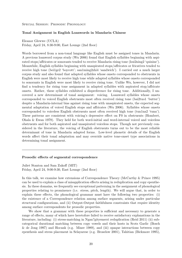#### Special Session: Prosodic Phonology

#### Tonal Assignment in English Loanwords in Mandarin Chinese

Eleanor Glewwe (UCLA) Friday, April 24, 8:30-9:00, East Lounge (2nd floor)

Words borrowed from a non-tonal language like English must be assigned tones in Mandarin. A previous loanword corpus study (Wu 2006) found that English syllables beginning with aspirated stops/affricates or sonorants tended to receive Mandarin rising tone (kui2ning2 'quinine'). Meanwhile, English syllables beginning with unaspirated stops/affricates or fricatives tended to receive high tone (bei1ge2 'boycott'; san1ming2zhi4 'sandwich'). I carried out a much larger corpus study and also found that adapted syllables whose onsets corresponded to obstruents in English were most likely to receive high tone while adapted syllables whose onsets corresponded to sonorants in English were most likely to receive rising tone. Unlike Wu, however, I did not find a tendency for rising tone assignment in adapted syllables with aspirated stop/affricate onsets. Rather, these syllables exhibited a dispreference for rising tone. Additionally, I uncovered a new determinant of tonal assignment: voicing. Loanword syllables whose onsets corresponded to voiced English obstruents most often received rising tone (bai2tuo1 'butter') despite a Mandarin-internal bias against rising tone with unaspirated onsets, the expected segmental adaptation of voiced English stops and affricates (Wu 2006). Syllables whose onsets corresponded to voiceless English obstruents most often received high tone (tun1na2 'tuna'). These patterns are consistent with voicing's depressive effect on F0 in obstruents (Hombert, Ohala & Ewan 1979). They held for both word-initial and word-internal voiced and voiceless obstruents and for both aspirated and unaspirated voiceless stops. Though not previously considered in the literature, the voicing of English obstruents turns out to be the most reliable determinant of tone in Mandarin adapted forms. Low-level phonetic details of the English words affect their tonal adaptation and may override native tone-onset type associations in determining tonal assignment.

#### Prosodic effects of segmental correspondence

Juliet Stanton and Sam Zukoff (MIT) Friday, April 24, 9:00-9:30, East Lounge (2nd floor)

In this talk, we examine how extensions of Correspondence Theory (McCarthy & Prince 1995) can be used to explain a class of misapplication effects arising in reduplication and copy epenthesis. In these domains, we frequently see exceptional patterning in the assignment of phonological properties relating to prominence (i.e. stress, pitch, length). We will argue that, in order to explain these effects, the phonological grammar must have the following two properties: (i) the existence of a Correspondence relation among surface segments, arising under particular structural configurations, and (ii) Output-Output faithfulness constraints that require identity among surface correspondents for prosodic properties.

We show that a grammar with these properties is sufficient and necessary to generate a range of effects, many of which have heretofore failed to receive satisfactory explanations in the literature, including: (i) stress-matching in Ngan?gityemerri reduplication (Reid 2011) (ii) subcategorical durational matching between copy vowels and their hosts in Scots Gaelic (Bosch & de Jong 1997) and Hocank (e.g. Miner 1989), and (iii) opaque interactions between copy epenthesis and stress placement in Selayarese (e.g. Broselow 2001), Tahitian (Bickmore 1995),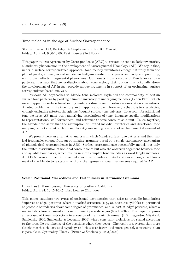and Hocank (e.g. Miner 1989).

#### Tone melodies in the age of Surface Correspondence

Sharon Inkelas (UC, Berkeley) & Stephanie S Shih (UC, Merced) Friday, April 24, 9:30-10:00, East Lounge (2nd floor)

This paper utilizes Agreement by Correspondence (ABC) to reexamine tone melody inventories, a landmark phenomenon in the development of Autosegmental Phonology (AP). We argue that, under a surface correspondence approach, tone melody inventories emerge naturally from the phonological grammar, rooted in independently-motivated principles of similarity and proximity, with proven effects in segmental phenomena. Our results, from a corpus of Mende lexical tone patterns, illustrate that generalisations about tone melody distribution that originally drove the development of AP in fact provide unique arguments in support of an optimizing, surface correspondence-based analysis.

Previous AP approaches to Mende tone melodies explained the commonality of certain surface tone patterns by positing a limited inventory of underlying melodies (Leben 1978), which were mapped to surface tone-bearing units via directional, one-to-one association conventions. A noted problem with the inventory and mapping approach, however, is that it is too restrictive, wrongly excluding attested though less frequent surface tone patterns. To account for additional tone patterns, AP must posit underlying associations of tone, language-specific modifications to representational well-formedness, and reference to tone contours as a unit. Taken together, the Mende data show that the assumption of limited melodic inventories and directional tone mapping cannot coexist without significantly weakening one or another fundamental element of AP.

We present here an alternative analysis in which Mende surface tone patterns and their lexical frequencies emerge from an optimizing grammar based on a single explanatory mechanism of phonological correspondence in ABC. Surface correspondence successfully models not only the limited distribution of non-final contour tones but also the observed alignment between tone and syllable boundaries, which results in more complex tone melodies as word length increases. An ABC-driven approach to tone melodies thus provides a united and more fine-grained treatment of the Mende tone system, without the representational mechanisms required in AP.

#### Scalar Positional Markedness and Faithfulness in Harmonic Grammar

Brian Hsu & Karen Jesney (University of Southern California) Friday, April 24, 10:15-10:45, East Lounge (2nd floor)

This paper examines two types of positional asymmetries that arise at prosodic boundaries: 'superset-at-edge' patterns, where a marked structure (e.g., an onsetless syllable) is permitted at prosodic boundaries above some degree of prominence, and 'subset-at-edge' patterns, where a marked structure is banned at more prominent prosodic edges (Flack 2009). This paper proposes an account of these restrictions in a version of Harmonic Grammar (HG; Legendre, Miyata & Smolensky 1990, Smolensky & Legendre 2006) where constraint violations are scaled according to the prosodic prominence of the positions where they occur. The result is a system that more closely matches the attested typology and that uses fewer, and more general, constraints than is possible in Optimality Theory (Prince & Smolensky 1993/2004).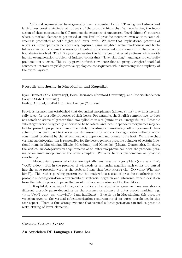Positional asymmetries have generally been accounted for in OT using markedness and faithfulness constraints indexed to levels of the prosodic hierarchy. While effective, the interaction of these constraints in OT predicts the existence of unattested "level-skipping" patterns where a marked element is permitted at one level of prosodic structure even as that same element is prohibited at both higher and lower levels. We show that implicational patterns of repair vs. non-repair can be effectively captured using weighted scalar markedness and faithfulness constraints where the severity of violation increases with the strength of the prosodic boundaries involved. The HG system generates the full range of attested patterns while avoiding the overgeneration problem of indexed constraints; "level-skipping" languages are correctly predicted not to exist. This study provides further evidence that adopting a weighted model of constraint interaction yields positive typological consequences while increasing the simplicity of the overall system.

#### Prosodic smothering in Macedonian and Kaqchikel

Ryan Bennett (Yale University), Boris Harizanov (Stanford University), and Robert Henderson (Wayne State University) Friday, April 24, 10:45-11:15, East Lounge (2nd floor)

Previous research has established that dependent morphemes (affixes, clitics) may idiosyncratically select for prosodic properties of their hosts. For example, the English comparative -er does not attach to stems of greater than two syllables in size (sunni-er vs. \*insightful-er). Prosodic subcategorization is typically understood to be lateral and local: dependent morphemes may select for prosodic properties of an immediately preceding or immediately following element. Less attention has been paid to the vertical dimension of prosodic subcategorization—the prosodic constituent produced by the attachment of a dependent morpheme to its host. We argue that vertical subcategorization is responsible for the heterogeneous prosodic behavior of certain functional items in Macedonian (Slavic, Macedonia) and Kaqchikel (Mayan, Guatemala). In short, the vertical subcategorization requirements of an outer morpheme can alter the prosodic parsing of an inner morpheme in the same complex. We refer to this phenomenon as prosodic smothering.

In Macedonian, preverbal clitics are typically unstressable  $(<\geq g$  VIde $>(s)$ he saw him', \*<GO vide>). But in the presence of wh-words or sentential negation such clitics are parsed into the same prosodic word as the verb, and may then bear stress  $\langle \langle k \circ j \rangle$  GO vide $\rangle$  Who saw him?'). This rather puzzling pattern can be analyzed as a case of prosodic smothering: the prosodic subcategorization requirements of sentential negation and wh-words force a deviation from the default prosodic parse that would otherwise be observed for the clitics.

In Kaqchikel, a variety of diagnostics indicate that absolutive agreement markers show a different prosodic parse depending on the presence or absence of outer aspect marking, e.g.  $\langle x\text{-in-b'e}\rangle$ 'I went' vs.  $\langle \text{in=jwi'}\rangle$ 'I am intelligent'. Exactly as in Macedonian, this prosodic variation owes to the vertical subcategorization requirements of an outer morpheme, in this case aspect. There is thus strong evidence that vertical subcategorization can induce prosodic restructuring of lower elements.

General Session: Syntax

#### An Articleless DP Language : Pazar Laz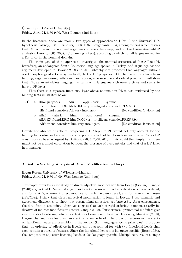Ömer Eren (Boğaziçi University) Friday, April 24, 8:30-9:00, West Lounge (2nd floor)

In the literature, there are mainly two types of approaches to DPs: i) the Universal DPhypothesis (Abney, 1987, Szabolsci, 1983, 1987, Longobardi 1994, among others) which argues that DP is present for nominal arguments in every language, and ii) the Parameterized-DP analysis (Bokovic, 2005, 2008, 2010, among others), according to which not all languages require a DP layer in the nominal domain.

The main goal of this paper is to investigate the nominal structure of Pazar Laz (PL hereafter), an endangered South Caucasian language spoken in Turkey, and argue against the argument developed in Bokovic 2008 and 2010 whereby it is proposed that languages without overt morphological articles syntactically lack a DP projection. On the basis of evidence from binding, negative raising, left-branch extraction, inverse scope and radical pro-drop, I will show that PL, as an articleless language, patterns with languages with overt articles and seems to have a DP layer.

That there is a separate functional layer above nominals in PL is also evidenced by the binding facts illustrated below:

(1) a. Himu¸sii qata-k his friend.ERG Ali.NOM very intelligent consider.PRES.3SG Alii op¸sa noseri ¸sinums. 'His friend considers Ali very intelligent.' [No condition C violation] b. Alişii Ali.GEN friend.ERG him.NOM very intelligent consider.PRES.3SG qata-k himi op¸sa noseri ¸sinums.

'Ali's friend considers him very intelligent.' [No condition B violation]

Despite the absence of articles, projecting a DP layer in PL would not only account for the binding facts observed above but also explain the lack of left branch extraction in PL, as DP constitutes a phase as argued by Boškovic (2005, 2008, 2010). This would then imply that there might not be a direct correlation between the presence of overt articles and that of a DP layer in a language.

#### A Feature Stacking Analysis of Direct Modification in Hocak

Bryan Rosen, University of Wisconsin–Madison Friday, April 24, 9:30-10:00, West Lounge (2nd floor)

This paper provides a case study on direct adjectival modification from Hocak (Siouan). Cinque (2010) argues that DP-internal adjectives have two sources: direct modification is lower, ordered, and forms APs, whereas indirect modification is higher, unordered, and forms relative clauses  $(IPS/CPs)$ . I show that direct adjectival modification is found in Hocak. I use semantic and agreement diagnostics to show that postnominal adjectives are bare APs. As a consequence, the data from postnominal adjectives suggest that lack of rigid ordering is not necessarily indicative of indirect modification (contra Cinque 2010). Furthermore, prenominal modifiers give rise to a strict ordering, which is a feature of direct modification. Following Manetta (2010), I argue that multiple features can stack on a single head. The order of features in the stacks on functional heads are assembled in the lexicon (i.e., language-specific principles). I propose that the ordering of adjectives in Hocak can be accounted for with two functional heads that each contain a stack of features. Since the functional lexicon is language specific (Borer 1984), the composition adjective licensing heads is also language specific. Multiple features on a single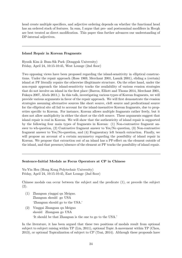head create multiple specifiers, and adjective ordering depends on whether the functional head has an ordered stack of features. In sum, I argue that pre- and postnominal modifiers in Hocak are best treated as direct modification. This paper thus further advances our understanding of DP-internal adjectives.

### Island Repair in Korean Fragments

Hyosik Kim & Bum-Sik Park (Dongguk University) Friday, April 24, 10:15-10:45, West Lounge (2nd floor)

Two opposing views have been proposed regarding the island-sensitivity in elliptical constructions. Under the repair approach (Ross 1969, Merchant 2001, Lasnik 2001), eliding a (certain) island at PF literally repairs the otherwise illegitimate structure. On the other hand, under the non-repair approach the island-sensitivity tracks the availability of various evasion strategies that do not involve an island in the first place (Barros, Elliott and Thoms 2014, Merchant 2001, Fukaya 2007, Abels 2011,). In this talk, investigating various types of Korean fragments, we will provide various arguments in favor of the repair approach. We will first demonstrate the evasion strategies assuming alternative sources like short source, cleft source and predicational source for the elliptical site all fail to account for the island-insensitive Korean fragments, due to properties specific to Korean. For instance, Korean allows multiple fragments rather freely, but it does not allow multiplicity in either the short or the cleft source. These arguments suggest that island repair is real in Korean. We will show that the authenticity of island repair is supported by the following four main types of fragments in Korean: (1) Non-contrastive fragment answer to wh-question, (2) Contrastive fragment answer to Yes/No question, (3) Non-contrastive fragment answer to Yes/No-question, and (4) Fragmentary left branch extraction. Finally, we will propose an account of a certain asymmetry regarding the possibility of island repair in Korean. We propose that extraction out of an island has a PF-effect on the element outside of the island, and that presence/absence of the element at PF tracks the possibility of island repair.

### Sentence-Initial Modals as Focus Operators at CP in Chinese

Yu-Yin Hsu (Hong Kong Polytechnic University) Friday, April 24, 10:15-10:45, East Lounge (2nd floor)

Chinese modals can occur between the subject and the predicate (1), or precede the subject (2).

- (1) Zhangsan yinggai qu Meiguo. Zhangsan should go USA 'Zhangsan should go to the USA.'
- (2) Yinggai Zhangsan qu Meiguo should Zhangsan go USA 'It should be that Zhangsan is the one to go to the USA.'

In the literature, it has been argued that these two positions of modals result from optional subject to subject raising within TP (Lin, 2011), optional Topic A-movement within TP (Chou, 2013), or optional Topicalization of subject to CP (Tsai, 2014). Although these proposals have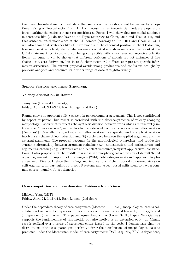their own theoretical merits, I will show that sentences like (2) should not be derived by an optional raising or Topicalization from (1). I will argue that sentence-initial modals are operators focus-marking the entire sentence (proposition) as Focus. I will show that pre-modal nominals in sentences like (2) do not have to be Topic (contrary to Chou, 2013 and Tsai, 2014), and that sentence-initial modals are at the CP domain (contrary to Lin, 2011 and Chou, 2013). I will also show that sentences like  $(1)$  have modals in the canonical position in the TP domain, licensing negative polarity items, whereas sentence-initial modals in sentences like (2) sit at the CP domain marking Focus, and not being compatible with wh-phrases nor negative polarity items. In turn, it will be shown that different positions of modals are not instances of free choices or a zero derivation, but instead, their structural differences represent specific information structures. The current proposal avoids wrong predictions and confusions brought by previous analyses and accounts for a wider range of data straightforwardly.

SPECIAL SESSION: ARGUMENT STRUCTURE

#### Valency alternation in Ranmo

Jenny Lee (Harvard University) Friday, April 24,  $3:15-3:45$ , East Lounge (2nd floor)

Ranmo shows an apparent split-S system in person/number agreement. This is not conditioned by aspect or person, but rather is correlated with the absence/presence of valency-changing morphology. I show that it reflects the syntactic division between verbs which are inherently intransitive ("unaccusatives") and verbs which are derived from transitive verbs via reflexivization ("middles"). Crucially, I argue that this "reflexivization" is a specific kind of applicativization involving (i) theme object reduction and (ii) coreference between the applied argument and the external argument. The proposal accounts for the morphological syncretism (and productive syntactic alternation) between argument-reducing (e.g., anticausatives and antipassives) and argument-increasing (e.g., ditransitives and benefactive/source/recipient applicatives) constructions. I also propose that the middle marker is the morphological realization of default/failed object agreement, in support of Preminger's (2014) "obligatory-operations" approach to phiagreement. Finally, I relate the findings and implications of the proposal to current views on split ergativity. In particular, both split-S systems and aspect-based splits seem to have a common source, namely, object demotion.

#### Case competition and case domains: Evidence from Yimas

Michelle Yuan (MIT) Friday, April 24, 3:45-4:15, East Lounge (2nd floor)

Under the dependent theory of case assignment (Marantz 1991, a.o.), morphological case is calculated on the basis of competition, in accordance with a realizational hierarchy: quirky/lexical > dependent > unmarked. This paper argues that Yimas (Lower Sepik; Papua New Guinea) supports the fundamentals of this model, but also motivates an extension of it. In Yimas, case is realized over a series of agreement clitics hosted on the verb. I demonstrate that the distributions of the case paradigms perfectly mirror the distributions of morphological case as predicted under the Marantzian model of case assignment: DAT is quirky, ERG is dependent,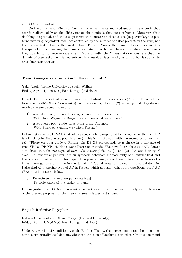and ABS is unmarked.

On the other hand, Yimas differs from other languages analyzed under this system in that case is realized solely on the clitics, not on the nominals they cross-reference. Moreover, clitic doubling is optional, and the case patterns that surface on these clitics (in particular, the patterns involving dependent case) are controlled by the number of clitics present on the verb, not the argument structure of the construction. Thus, in Yimas, the domain of case assignment is the span of clitics, meaning that case is calculated directly over these clitics while the nominals they double do not receive case at all. More broadly, the Yimas data demonstrate that the domain of case assignment is not universally clausal, as is generally assumed, but is subject to cross-linguistic variation.

#### Transitive-ergative alternation in the domain of P

Yuko Asada (Tokyo University of Social Welfare) Friday, April 24, 4:30-5:00, East Lounge (2nd floor)

Ruwet (1978) argues that there are two types of absolute constructions (ACs) in French of the form avec 'with'–DP–XP (avec-ACs), as illustrated by (1) and (2), showing that they do not involve the same semantic relation.

- (1) Avec John Wayne pour Reagan, on va voir ce qu'on va voir. 'With John Wayne for Reagan, we will see what we will see.'
- (2) Avec Pierre pour guide, nous avons visité Florence. 'With Pierre as a guide, we visited Firenze.'

In the first type, the DP–XP that follows avec can be paraphrased by a sentence of the form DP is XP (cf. John Wayne est pour Reagan.). This is not the case with the second type, however (cf. \*Pierre est pour guide.). Rather, the DP-XP corresponds to a phrase in a sentence of type YP has DP XP (cf. Nous avons Pierre pour guide. 'We have Pierre for a guide.'). Ruwet also shows that the two types of avec-ACs as exemplified by (1) and (2) ('be- and have-type' avec-ACs, respectively) differ in their syntactic behavior: the possibility of quantifier float and the position of adverbs. In this paper, I propose an analysis of these differences in terms of a transitive/ergative alternation in the domain of P, analogous to the one in the verbal domain. I also deal with another type of AC in French, which appears without a preposition, 'bare' AC (BAC), as illustrated below.

(3) Perrette se promène [un panier au bras]. 'Perrette walks with a basket in hand.'

It is suggested that BACs and avec-ACs can be treated in a unified way. Finally, an implication of the present proposal for the theory of small clauses is discussed.

### English Reflexive Logophors

Isabelle Charnavel and Chrissy Zlogar (Harvard University) Friday, April 24, 5:00-5:30, East Lounge (2nd floor)

Under any version of Condition A of the Binding Theory, the antecedents of anaphors must occur in a structurally local domain, whether the notion of locality is argued to rely on c-command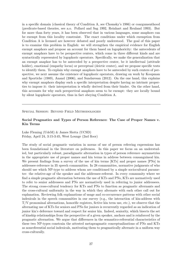in a specific domain (classical theory of Condition A, see Chomsky's 1986) or coargumenthood (predicate-based theories, see a.o. Pollard and Sag 1992, Reinhart and Reuland 1993). But for more than forty years, it has been observed that in various languages, some anaphors can be exempt from this locality constraint. The exact conditions under which exemption from Condition A is licensed are however debated and poorly understood. The goal of this paper is to examine this problem in English: we will strengthen the empirical evidence for English exempt anaphors and propose an account for them based on logophoricity: the antecedents of exempt anaphors have to be perspective centers, which come in three different kinds and are syntactically represented by logophoric operators. Specifically, we make the generalization that an exempt anaphor has to be anteceded by a perspective center, be it intellectual (attitude holder), emotional (empathy locus) or perceptual (deictic center), and we propose specific tests to identify them. To explain why exempt anaphors have to be anteceded by such centers of perspective, we next assume the existence of logophoric operators, drawing on work by Koopman and Sportiche (1989), Anand (2006), and Sundaresan (2012). On the one hand, this explains why exempt anaphors display such a specific interpretation despite having no intrinsic properties to impose it: their interpretation is wholly derived from their binder. On the other hand, this accounts for why such perspectival anaphors seem to be exempt: they are locally bound by silent logophoric operators, thus in fact obeying Condition A.

Special Session: Beyond Field Methodologies

### Social Pragmatics and Types of Person Reference: The Case of Proper Names v. Kin Terms

Luke Fleming (UdeM) & James Slotta (UCSD) Friday, April 24, 3:15-3:45, West Lounge (2nd floor)

The study of social pragmatic variation in norms of use of person referring expressions has been foundational in the literature on politeness. In this paper we focus on an understudied, but particularly robust, paradigmatic alternation in types of person reference–asymmetries in the appropriate use of proper names and kin terms in address between consanguineal kin. We present findings from a survey of the use of kin terms [KTs] and proper names [PNs] in addressee-reference in 35 speech communities. In 28 communities, normative judgments of who should use which NP-type to address whom are conditioned by a simple sociocultural parameter: the relative-age of the speaker and the addressee-referent. In every community where we find a simple pragmatic alternation between the use of KTs and PNs, KTs are normatively used to refer to senior addressees and PNs are normatively used in referring to junior addressees. The strong cross-cultural tendency for KTs and PNs to function as pragmatic alternants and the cross-cultural uniformity in the way in which they alternate with each other call out for explanation. Reviewing folk explanations of usage and co-occurrence patterns with other social indexicals in the speech communities in our survey (e.g., the interaction of kin-address with T/V pronominal alternations, honorific registers, fictive kin term use, etc.), we observe that the alternating use of KTs for seniors and PNs for juniors is recurrently regarded as an indication of junior kin's deference toward and respect for senior kin. Indeed, seniority, which bisects the set of kinship relationships from the perspective of a given speaker, anchors and is reinforced by the pragmatic alternation. We argue that differences in the semantico-referential characteristics of these two NP-types constrain the attested metapragmatic conceptualizations of PNs and KTs as nonreferential social indexicals, motivating them to pragmatically alternate in a uniform way cross-culturally.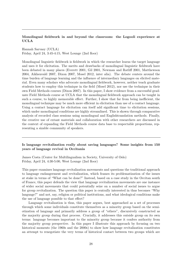### Monolingual fieldwork in and beyond the classroom: the Logooli experience at UCLA

Hannah Sarvasy (UCLA) Friday, April 24, 3:45-4:15, West Lounge (2nd floor)

Monolingual linguistic fieldwork is fieldwork in which the researcher learns the target language and uses it for elicitation. The merits and drawbacks of monolingual linguistic fieldwork have been debated in many places (Everett 2001, Gil 2001, Newman and Ratliff 2001, Matthewson 2004, Aikhenvald 2007, Dixon 2007, Mosel 2012, inter alia). The debate centers around the time burden of language learning and the influence of intermediary languages on elicited material. Even many scholars who advocate monolingual fieldwork, however, neither teach graduate students how to employ this technique in the field (Mosel 2012), nor use the technique in their own Field Methods courses (Dixon 2007). In this paper, I show evidence from a successful graduate Field Methods course at UCLA that the monolingual fieldwork approach can be taught in such a course, to highly memorable effect. Further, I show that far from being inefficient, the monolingual technique may be much more efficient in elicitation than use of a contact language. Using a contact language for elicitation can itself add significant time to elicitation sessions, which under monolingual conditions are highly streamlined. This is shown through comparative analysis of recorded class sessions using monolingual and Englishtranslation methods. Finally, the creative use of extant materials and collaboration with other researchers are discussed in the context of expanding the Field Methods course data base to respectable proportions, representing a sizable community of speakers.

### Is language revitalization really about saving languages? Some insights from 150 years of language revival in Occitania

James Costa (Center for Multilingualism in Society, University of Oslo) Friday, April 24, 4:30-5:00, West Lounge (2nd floor)

This paper examines language revitalization movements and questions the traditional approach to language endangerment and revitalization, which frames its problematization of the issues at stake in terms of "What can be done?" Instead, based on a case study in the Occitan south of France, this paper defends the view that language revitalization movements are one instance of wider social movements that could potentially seize on a number of social issues to argue for group revitalization. The question this paper is centrally interested in thus becomes "Why language?" and not, say, religion or political institutions, and what ideological conditions make the use of language possible to that effect?

Language revitalization is thus, this paper argues, best approached as a set of processes through which some individuals constitute themselves as a minority group based on the semiotization of language and primarily address a group of "others", discursively constructed as the majority group during that process. Crucially, it addresses this outside group on its own terms: language becomes important to the minority group because it confers authority from the majority group perspective. In this paper I illustrate this approach by focusing on two historical moments (the 1960s and the 2000s) to show how language revitalization constitutes an attempt to renegotiate the very terms of historical contact between two groups which are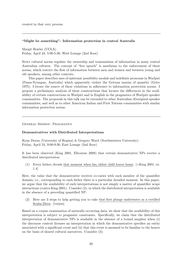created in that very process.

### "Might be something": Information protection in central Australia

Margit Bowler (UCLA) Friday, April 24, 5:00-5:30, West Lounge (2nd floor)

Strict cultural norms regulate the ownership and transmission of information in many central Australian cultures. The concept of "free speech" is anathema to the enforcement of these norms, which restrict the flow of information between men and women and between young and old speakers, among other contexts.

This paper describes uses of epistemic possibility modals and indefinite pronouns in Warlpiri (Pama-Nyungan, Australia) which apparently violate the Gricean maxim of quantity (Grice 1975). I locate the source of these violations in adherence to information protection norms. I propose a preliminary analysis of these constructions that locates the differences in the availability of certain constructions in Warlpiri and in English in the pragmatics of Warlpiri speaker communities. The proposals in this talk can be extended to other Australian Aboriginal speaker communities, and well as to other American Indian and First Nations communities with similar information protection norms.

General Session: Pragmatics

### Demonstratives with Distributed Interpretations

Ryan Doran (University of Regina) & Gregory Ward (Northwestern University) Friday, April 24, 9:00-9:30, East Lounge (2nd floor)

It has been observed (King 2001, Elbourne 2008) that certain demonstrative NPs receive a distributed interpretation:

(1) Every father dreads that moment when his oldest child leaves home.  $=$ King 2001, ex. 1.4]

Here, the value that the demonstrative receives co-varies with each member of the quantifier domain; i.e., corresponding to each father there is a particular dreaded moment. In this paper, we argue that the availability of such interpretations is not simply a matter of quantifier scope interactions (contra King 2001). Consider (2), in which the distributed interpretation is available in the absence of a preceding quantified NP:

(2) Here are 3 steps to help getting you to take that first plunge underwater as a certified Scuba Diver. [corpus]

Based on a corpus examination of naturally-occurring data, we show that the availability of this interpretation is subject to pragmatic constraints. Specifically, we claim that the distributed interpretation of demonstrative NPs is available in the absence of a bound anaphor when (i) the discourse context licenses an interpretation in which the demonstrative specifies an entity associated with a significant event and (ii) that this event is assumed to be familiar to the hearer on the basis of shared cultural narratives. Consider (3):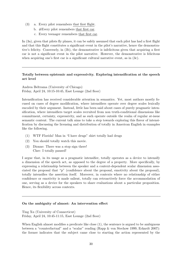- (3) a. Every pilot remembers that first flight.
	- b. #Every pilot remembers that first car.
	- c. Every teenager remembers that first car.

In (3a), given that pilots fly planes, it can be safely assumed that each pilot has had a first flight and that this flight constitutes a significant event in the pilot's narrative, hence the demonstrative's felicity. Conversely, in (3b), the demonstrative is infelicitous given that acquiring a first car is not a significant event in the pilot narrative. However, the demonstrative is felicitous when acquiring one's first car is a significant cultural narrative event, as in (3c).

### Totally between epistemic and expressivity. Exploring intensification at the speech act level

Andrea Beltrama (University of Chicago) Friday, April 24, 10:15-10:45, East Lounge (2nd floor)

Intensification has received considerable attention in semantics. Yet, most authors mostly focused on cases of degree modification, where intensifiers operate over degree scales lexically encoded by their argument. Instead, little has been said about cases of purely pragmatic intensification, where intensifiers target scales recruited from non truth-conditional dimensions like commitment, certainty, expressivity, and as such operate outside the realm of regular at-issue semantic content. The current talk aims to take a step towards exploring this flavor of intensification by discussing the licensing and distribution of totally in American English in examples like the following.

- (1) WTF Florida! Man in "I have drugs" shirt totally had drugs
- (2) You should totally watch this movie.
- (3) Dionne: There was a stop sign there! Cher: I totally paused!

I argue that, in its usage as a pragmatic intensifier, totally operates as a device to intensify a dimension of the speech act, as opposed to the degree of a property. More specifically, by expressing a relationship between the speaker and a context-dependent scalar dimension associated the proposal that "p" (confidence about the proposal, emotivity about the proposal), totally intensifies the assertion itself. Moreover, in contexts where no relationship of either confidence or emotivity is made salient, totally can retroactively force the accommodation of one, serving as a device for the speakers to share evaluations about a particular proposition. Hence, its flexibility across contexts.

### On the ambiguity of almost: An intervention effect

Ting Xu (University of Connecticut) Friday, April 24, 10:45-11:15, East Lounge (2nd floor)

When English almost modifies a predicate like close (1), the sentence is argued to be ambiguous between a "counterfactual" and a "scalar" reading (Rapp & von Stechow 1999, Eckardt 2007): the former indicates that the subject came close to starting the action represented by the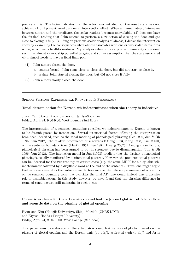predicate (1)a. The latter indicates that the action was initiated but the result state was not achieved (1)b. I present novel data on an intervention effect: When a manner adverb intervenes between almost and the predicate, the scalar reading becomes unavailable. (2) does not have the "scalar" reading that John started to perform a slow action of closing the door and got close to closing it fully. Building on previous scalar analyses of almost, I derive the intervention effect by examining the consequences when almost associates with one or two scalar items in its scope, which leads to ill-formedness. My analysis relies on (a) a posited minimality constraint such that almost cannot skip potential targets; and (b) an assumption that the scale associated with almost needs to have a fixed limit point.

- (1) John almost closed the door.
	- a. counterfactual: John come close to close the door, but did not start to close it.
	- b. scalar: John started closing the door, but did not close it fully.
- (2) John almost slowly closed the door.

Special Session: Experimental Phonetics & Phonology

### Tonal determination for Korean wh-indeterminates when the theory is indecisive

Jiwon Yun (Stony Brook University) & Hye-Sook Lee Friday, April 24, 9:00-9:30, West Lounge (2nd floor)

The interpretation of a sentence containing so-called wh-indeterminates in Korean is known to be disambiguated by intonation. Several intonational factors affecting the interpretation have been identified, such as the tonal marking of phonological phrasing (Lee 1990, Jun & Oh 1996, Yun 2012), the relative prominence of wh-words (Chang 1973, Kang 1988, Kim 2000), or the sentence boundary tone (Martin 1951, Lee 1984, Hwang 2007). Among those factors, phonological phrasing has been argued to be the strongest cue to disambiguation (Jun & Oh 1996, Yun 2012). The intonation model in Jun (1993) predicts that the distinct phonological phrasing is usually manifested by distinct tonal patterns. However, the predicted tonal patterns can be identical for the two readings in certain cases (e.g. the same LHLH for a disyllabic whindeterminate followed by a disyllabic word at the end of the sentence). Thus, one might argue that in those cases the other intonational factors such as the relative prominence of wh-words or the sentence boundary tone that overrides the final AP tone would instead play a decisive role in disambiguation. In this study, however, we have found that the phrasing difference in terms of tonal pattern still maintains in such a case.

### Phonetic evidence for the articulator-bound feature [spread glottis]: ePGG, airflow and acoustic data on the phasing of glottal opening

Hyunsoon Kim (Hongik University), Shinji Maedab (CNRS LTCI) and Kiyoshi Honda (Tianjin University) Friday, April 24, 9:30-10:00, West Lounge (2nd floor)

This paper aims to elaborate on the articulator-bound feature [spread glottis], based on the phasing of glottal opening and the Korean lenis  $(p t k)$ , aspirated  $(p h t k h)$  and fortis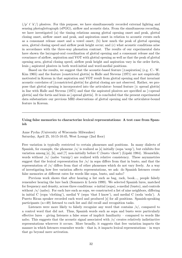$(\n\pi \cdot k')$  plosives. For this purpose, we have simultaneously recorded external lighting and sensing photoglottograph (ePGG), airflow and acoustic data. From the simultaneous recording, we have investigated (a) the timing relations among glottal opening onset and peak, glottal closing onset, airflow onset and peak, and aspiration onset in relation to acoustic events such as a consonant release onset and a vowel onset; (b) how much the peak of glottal opening area, glottal closing speed and airflow peak height occur; and (c) what acoustic conditions arise in accordance with the three-way phonation contrast. The results of our experimental data have shown the laryngeal-oral coordination of glottal opening and a consonant release and the covariance of airflow, aspiration and VOT with glottal opening as well as that the peak of glottal opening area, glottal closing speed, airflow peak height and aspiration vary in the order fortis, lenis i aspirated plosives in both word-initial and word-medial positions.

Based on the results, we suggest that the acoustic-based feature  $[\pm$ aspiration (e.g. C.- W. Kim 1965) and the feature [constricted glottis] in Halle and Stevens (1971) are not empirically motivated in Korean in that aspiration and VOT result from glottal opening and that invariant acoustic correlates of [±constricted glottis] for glottal closing are not observed. Rather, we propose that glottal opening is incorporated into the articulator- bound feature  $[\pm$  spread glottis in line with Halle and Stevens (1971) and that the aspirated plosives are specified as [+spread glottis] and the fortis and lenis as [-spread glottis]. It is concluded that the present experimental data substantiate our previous MRI observations of glottal opening and the articulator-bound feature in Korean.

### Using false memories to characterize lexical representations: A test case from Spanish

Anne Pycha (University of Wisconsin–Milwaukee) Saturday, April 25, 10:15-10:45, West Lounge (2nd floor)

Free variation is typically restricted to certain phonemes and positions. In many dialects of Spanish, for example, the phoneme  $\frac{s}{s}$  is realized as [s] initially (sopa 'soup'), but exhibits free variation among [s], [h], and [?] non-initially before C (busto 'chest') (Lipski 1984). Meanwhile, words without /s/ (nabo 'turnip') are realized with relative consistency. These asymmetries suggest that the lexical representation for  $\frac{s}{n}$  in sopa differs from that in busto, and that the representation of /s/ differs from that of other phonemes which do not vary freely. As a way of investigating how free variation affects representations, we ask: do Spanish listeners create false memories at different rates for words like sopa, busto, and nabo?

Previous work shows that after hearing a list such as bag, rack, book..., people falsely remember hearing the lure back (Sommers & Lewis 1999). We selected Spanish lures, matched for frequency and density, across three conditions: s-initial (sopa), s-medial (busto), and controls without  $\frac{s}{\sqrt{s}}$  (nabo). For each lure such as sopa, we constructed a list of nine neighbors, differing in initial C (ropa 'clothing'), medial V (sepa 'that I know'), and medial C (soda 'soda'). A Puerto Rican speaker recorded each word and produced [s] for all positions. Spanish-speaking participants  $(n=49)$  listened to each list and did recall and recognition tasks.

Listeners were more likely to falsely recognize any word that contains  $\frac{s}{s}$ , compared to a control word that did not. Thus, Spanish words such as sopa and busto were particularly effective lures – giving listeners a false sense of implicit familiarity – compared to words like nabo. This suggests that the acoustic signal associated with /s/ creates relatively indistinctive representations wherever it occurs. More broadly, it suggests that free variation impacts the manner in which listeners remember words – that is, it impacts lexical representations – in ways that go beyond mere activation.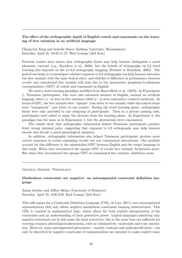### The effect of the orthographic depth of English vowels and consonants on the learning of free variation in an artificial language

Chung-Lin Yang and Isabelle Darcy (Indiana University, Bloomington) Saturday, April 25, 10:45-11:15, West Lounge (2nd floor)

Previous studies have shown that orthographic forms may help learners distinguish a novel phonemic contrast (e.g., Escudero et al., 2008), but the benefit of orthography on L2 word learning also depends on the L1-L2 orthography mapping (Erdener & Burnham, 2005). The goal of our study is to investigate whether exposure to L2 orthography can help learners associate two free variants with the same lexical entry, and whether a difference in performance between vocalic and consonantal free variants will arise due to the asymmetric grapheme-to-phoneme correspondence (GPC) of vowels and consonants in English.

We used a word learning paradigm modified from Hayes-Harb et al. (2010). In Experiment 1, Taiwanese participants, who were also advanced learners of English, learned an artificial language where  $\lceil 5 - u \rceil$  were in free variation while  $\lceil e - a \rceil$  were contrastive (control condition). In terms of GPC, the free variants were "opaque" (one letter to two sounds) while the control items were "transparent" (one letter to one sound). During the word learning phase, orthographic forms were only provided to one subgroup of participants. Then in a picture naming task, participants were asked to name the pictures from the learning phase. In Experiment 2, the paradigm was the same as in Experiment 1, but the alternations were consonantal.

The results show that orthographic information helped Taiwanese participants produce fewer wrong minimal pairs, suggesting that exposure to L2 orthography may help learners encode and decode a novel phonological variation.

In addition, orthographic information also helped Taiwanese participants produce more correct responses in words containing vocalic but not consonantal alternations. One possible account for this difference is the mismatched GPC between English and the target language in this study. When they encountered the opaque GPC of vocalic free variants, facilitation arose. But when they encountered the opaque GPC of consonantal free variants, inhibition arose.

General Session: Phonology

### Markedness constraints are negative: an autosegmental constraint definition language

Adam Jardine and Jeffrey Heinz (University of Delaware) Saturday, April 25, 2:00-2:30, East Lounge (2nd floor)

This talk argues for a Constraint Definition Language (CDL, de Lacy 2011) over autosegmental representations that only allows negative markedness constraints banning substructures. This CDL is couched in mathematical logic, which allows for both explicit interpretation of the constraints and an understanding of their generative power. Logical languages admitting only negative statements are in this sense the most restrictive, but at the same time are sufficient for covering common phonological phenomena, such as culminativity constraints and tone association. However, some autosegmental phenomena—namely, contours and underspecification—can only be described by negative constraints if representations are enriched to make explicit some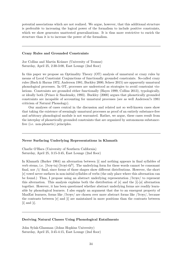potential associations which are not realized. We argue, however, that this additional structure is preferable to increasing the logical power of the formalism to include positive constraints, which we show generates unattested generalizations. It is thus more restrictive to enrich the structure than it is to increase the power of the formalism.

#### Crazy Rules and Grounded Constraints

Joe Collins and Martin Krämer (University of Tromsø) Saturday, April 25, 2:30-3:00, East Lounge (2nd floor)

In this paper we propose an Optimality Theory (OT) analysis of unnatural or crazy rules by means of Local Constraint Conjunctions of functionally grounded constraints. So-called crazy rules (Bach & Harms 1972, Anderson 1981, Buckley 2000, Scheer 2015) are apparently unnatural phonological processes. In OT, processes are understood as strategies to avoid constraint violations. Constraints are grounded either functionally (Hayes 1999, Collins 2013), typologically, or ideally both (Prince & Smolensky, 1993). Buckley (2000) argues that phonetically grounded constraints are incapable of accounting for unnatural processes (see as well Anderson?s 1981 criticism of Natural Phonology).

Our analyses of cases central in the discussion and related not so well-known cases show that taking the existence of seemingly unnatural processes as proof of an entirely substance-free and arbitrary phonological module is not warranted. Rather, we argue, these cases result from the interplay of phonetically grounded constraints that are organized by autonomous substancefree (i.e. non-phonetic) principles.

#### Never Surfacing Underlying Representations in Klamath

Charlie O'Hara (University of Southern California) Saturday, April 25, 3:15-3:45, East Lounge (2nd floor)

In Klamath (Barker 1964) an alternation between [i] and nothing appears in final syllables of verb stems, i.e. [?eːw̩-ta]-[?eːẉi-tkʰ]. The underlying form for these words cannot be consonant final, nor  $\overrightarrow{ij}$  final, since forms of those shapes show different distributions. However, the short [e] vowel never surfaces in non-initial syllables of verbs (the only place where this alternation can be found.) Thus, I propose using an abstract underlying representation / Perme/ to represent this alternation. This analysis explains both the distribution of  $[e]$  and the  $\hat{[i]}$ -[ø] alternation together. However, it has been questioned whether abstract underlying forms are readily learnable by phonological learners. I also supply an argument that due to an emergent property of MaxEnt learners, forms like /?e:we/ are chosen over more abstract forms like /?e:wɪ/, because the contrasts between [e] and [i] are maintained in more positions than the contrasts between  $[i]$  and  $[i]$ .

#### Deriving Natural Classes Using Phonological Entailments

John Sylak-Glassman (Johns Hopkins University) Saturday, April 25, 3:45-4:15, East Lounge (2nd floor)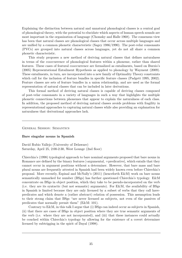Explaining the distinction between natural and unnatural phonological classes is a central goal of phonological theory, with the potential to elucidate which aspects of human speech sounds are most important in the organization of language (Chomsky and Halle 1968). The consensus view has been that natural classes are phonological classes that occur across multiple languages and are unified by a common phonetic characteristic (Sagey 1986/1990). The post-velar consonants (PVCs) are grouped into natural classes across languages, yet do not all share a common phonetic characteristic.

This study proposes a new method of deriving natural classes that defines naturalness in terms of the cooccurrence of phonological features within a phoneme, rather than shared features. These cases of featural cooccurrence are formalized as entailments, based on Burzio's (2005) Representational Entailment Hypothesis as applied to phonology by Wayment (2009). These entailments, in turn, are incorporated into a new family of Optimality Theory constraints which call for the inclusion of feature bundles in specific feature classes (Padgett 1995, 2002). Feature classes are sets of feature bundles in a union relationship, and are used as the formal representation of natural classes that can be included in later derivations.

This formal method of deriving natural classes is capable of deriving classes composed of post-velar consonants in a variety of languages in such a way that highlights the multiple phonetic connections between phonemes that appear to explain the naturalness of each class. In addition, the proposed method of deriving natural classes avoids problems with fragility in representational approaches to capturing natural classes while also providing an explanation for naturalness that derivational approaches lack.

General Session: Semantics

#### Bare singular nouns in Spanish

David Rubio Vallejo (University of Delaware) Saturday, April 25, 2:00-2:30, West Lounge (2nd floor)

Chierchia's (1998) typological approach to bare nominal arguments proposed that bare nouns in Romance are defined by the binary features [-argumental, +predicative], which entails that they cannot occur in argument positions without a determiner. However, that bare mass and bare plural nouns are frequently attested in Spanish had been widely known even before Chierchia's proposal. More recently, Espinal and McNally's (2011) (henceforth E&M) work on bare nouns semantically unmarked for number (BSgs) has further questioned Chierchia's typology. E&M concentrate on BSgs in object position, which they take to be pseudo-incorporated on the verb (i.e. they are its syntactic (but not semantic) arguments). For E&M, the availability of BSgs in Spanish is limited because they are only licensed by a subset of verbs that they call havepredicates and which denote a (rather abstract) relation of possession. This assumption leads to their strong claim that BSgs "are never licensed as subjects, not even of the passives of predicates that normally permit them" (E&M: 101).

Contrary to E&M, in this talk I argue that (i) BSgs can indeed occur as subjects in Spanish, (ii) that there are cases of BSgs in object position where they are true semantic arguments of the verb (i.e. where they are not incorporated), and (iii) that these instances could actually be couched within Chierchia's typology by allowing for the existence of a covert determiner licensed by subtrigging in the spirit of Dayal (1998).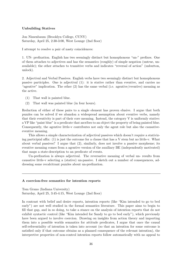### Unbuilding Statives

Jon Nissenbaum (Brooklyn College, CUNY) Saturday, April 25, 2:30-3:00, West Lounge (2nd floor)

I attempt to resolve a pair of nasty coincidences:

1. UN- prefixation. English has two seemingly distinct but homophonous "un-" prefixes. One of them attaches to adjectives and has the semantics (roughly) of simple negation (untrue, unavailable); the other attaches to transitive verbs and indicates "reversal of action" (unbutton, unlock).

2. Adjectival and Verbal Passives. English verbs have two seemingly distinct but homophonous passive participles. One is adjectival (1): it is stative rather than eventive, and carries no "agentive" implication. The other (2) has the same verbal (i.e. agentive/eventive) meaning as the active.

- (1) That wall is painted blue.
- (2) That wall was painted blue (in four hours).

Reduction of either of these pairs to a single element has proven elusive. I argue that both puzzles can be solved if we abandon a widespread assumption about eventive verbs, namely that their eventivity is part of their core meaning. Instead, the category V is uniformly stative: a VP like "paint blue" is a predicate that ascribes to an object the property of being painted blue. Consequently, the agentive little-v contributes not only the agent role but also the causativeeventive meaning.

This allows a simple characterization of adjectival passives which doesn't require a stativizing participial affix:  $(1)$  is just the outcome for a clause that has a V stem but no little-v. What about verbal passives? I argue that (2), similarly, does not involve a passive morpheme; its eventive meaning comes from a agentive version of the auxiliary BE (independently motivated) that maps a state-description to an predicate of events.

Un-prefixation is always adjectival. The reversative meaning of verbal un- results from causative little-v selecting a (stative) un-passive. I sketch out a number of consequences, addressing some recalcitrant puzzles about un-prefixation.

#### A coercion-free semantics for intention reports

Tom Grano (Indiana University) Saturday, April 25, 3:45-4:15, West Lounge (2nd floor)

In contrast with belief and desire reports, intention reports (like "Kim intended to go to bed early") are not well studied in the formal semantics literature. This paper aims to begin to fill that gap, and in so doing, to take a stance on the analysis of intention reports that do not exhibit syntactic control (like "Kim intended for Sandy to go to bed early"), which previously have been argued to involve coercion. Drawing on insights from action theory and importing them into a possible worlds semantics for attitude predicates, I argue that once the causal self-referentiality of intention is taken into account (so that an intention for some outcome is satisfied only if that outcome obtains as a planned consequence of the relevant intention), the interpretive properties of non-control intention reports follow automatically with no appeal to